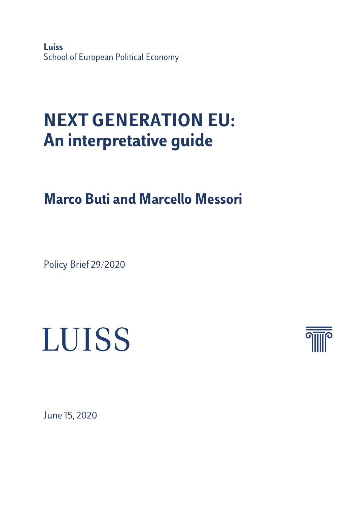**Luiss** School of European Political Economy

# **NEXT GENERATION EU: An interpretative guide**

**Marco Buti and Marcello Messori**

Policy Brief 29/2020





June 15, 2020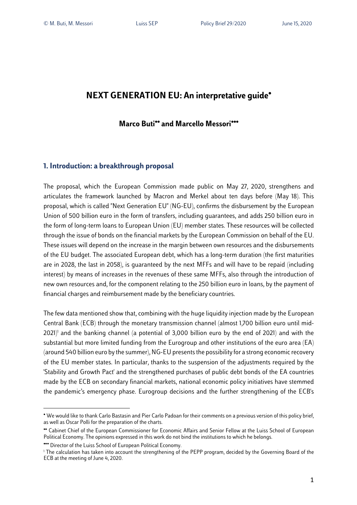## **NEXT GENERATION EU: An interpretative guide**•

### **Marco Buti**•• **and Marcello Messori**•••

#### **1. Introduction: a breakthrough proposal**

The proposal, which the European Commission made public on May 27, 2020, strengthens and articulates the framework launched by Macron and Merkel about ten days before (May 18). This proposal, which is called "Next Generation EU" (NG-EU), confirms the disbursement by the European Union of 500 billion euro in the form of transfers, including guarantees, and adds 250 billion euro in the form of long-term loans to European Union (EU) member states. These resources will be collected through the issue of bonds on the financial markets by the European Commission on behalf of the EU. These issues will depend on the increase in the margin between own resources and the disbursements of the EU budget. The associated European debt, which has a long-term duration (the first maturities are in 2028, the last in 2058), is guaranteed by the next MFFs and will have to be repaid (including interest) by means of increases in the revenues of these same MFFs, also through the introduction of new own resources and, for the component relating to the 250 billion euro in loans, by the payment of financial charges and reimbursement made by the beneficiary countries.

The few data mentioned show that, combining with the huge liquidity injection made by the European Central Bank (ECB) through the monetary transmission channel (almost 1,700 billion euro until mid-2021) <sup>1</sup> and the banking channel (a potential of 3,000 billion euro by the end of 2021) and with the substantial but more limited funding from the Eurogroup and other institutions of the euro area (EA) (around 540 billion euro by the summer), NG-EU presentsthe possibility for a strong economic recovery of the EU member states. In particular, thanks to the suspension of the adjustments required by the 'Stability and Growth Pact' and the strengthened purchases of public debt bonds of the EA countries made by the ECB on secondary financial markets, national economic policy initiatives have stemmed the pandemic's emergency phase. Eurogroup decisions and the further strengthening of the ECB's

<sup>•</sup> We would like to thank Carlo Bastasin and Pier Carlo Padoan for their comments on a previous version of this policy brief, as well as Oscar Polli for the preparation of the charts.

<sup>••</sup> Cabinet Chief of the European Commissioner for Economic Affairs and Senior Fellow at the Luiss School of European Political Economy. The opinions expressed in this work do not bind the institutions to which he belongs.

<sup>•••</sup> Director of the Luiss School of European Political Economy.

<sup>&</sup>lt;sup>1</sup> The calculation has taken into account the strengthening of the PEPP program, decided by the Governing Board of the ECB at the meeting of June 4, 2020.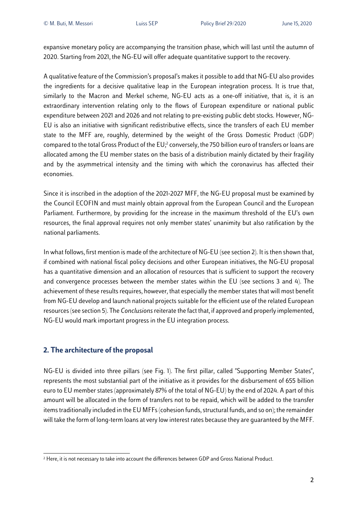expansive monetary policy are accompanying the transition phase, which will last until the autumn of 2020. Starting from 2021, the NG-EU will offer adequate quantitative support to the recovery.

A qualitative feature of the Commission's proposal's makes it possible to add that NG-EU also provides the ingredients for a decisive qualitative leap in the European integration process. It is true that, similarly to the Macron and Merkel scheme, NG-EU acts as a one-off initiative, that is, it is an extraordinary intervention relating only to the flows of European expenditure or national public expenditure between 2021 and 2026 and not relating to pre-existing public debt stocks. However, NG-EU is also an initiative with significant redistributive effects, since the transfers of each EU member state to the MFF are, roughly, determined by the weight of the Gross Domestic Product (GDP) compared to the total Gross Product of the EU;<sup>2</sup> conversely, the 750 billion euro of transfers or loans are allocated among the EU member states on the basis of a distribution mainly dictated by their fragility and by the asymmetrical intensity and the timing with which the coronavirus has affected their economies.

Since it is inscribed in the adoption of the 2021-2027 MFF, the NG-EU proposal must be examined by the Council ECOFIN and must mainly obtain approval from the European Council and the European Parliament. Furthermore, by providing for the increase in the maximum threshold of the EU's own resources, the final approval requires not only member states' unanimity but also ratification by the national parliaments.

In what follows, first mention is made of the architecture of NG-EU (see section 2). It is then shown that, if combined with national fiscal policy decisions and other European initiatives, the NG-EU proposal has a quantitative dimension and an allocation of resources that is sufficient to support the recovery and convergence processes between the member states within the EU (see sections 3 and 4). The achievement of these results requires, however, that especially the member states that will most benefit from NG-EU develop and launch national projects suitable for the efficient use of the related European resources (see section 5). The *Conclusions*reiterate the fact that, if approved and properly implemented, NG-EU would mark important progress in the EU integration process.

### **2. The architecture of the proposal**

NG-EU is divided into three pillars (see Fig. 1). The first pillar, called "Supporting Member States", represents the most substantial part of the initiative as it provides for the disbursement of 655 billion euro to EU member states (approximately 87% of the total of NG-EU) by the end of 2024. A part of this amount will be allocated in the form of transfers not to be repaid, which will be added to the transfer items traditionally included in the EU MFFs (cohesion funds, structural funds, and so on); the remainder will take the form of long-term loans at very low interest rates because they are guaranteed by the MFF.

<sup>&</sup>lt;sup>2</sup> Here, it is not necessary to take into account the differences between GDP and Gross National Product.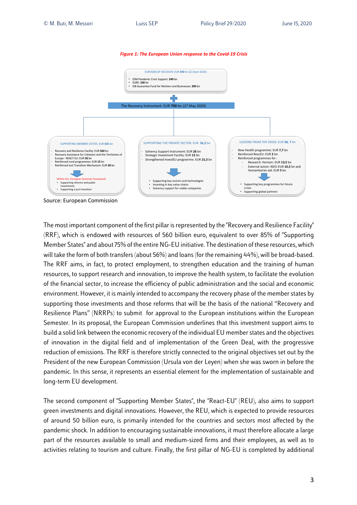



Source: European Commission

The most important component of the first pillar is represented by the "Recovery and Resilience Facility" (RRF), which is endowed with resources of 560 billion euro, equivalent to over 85% of "Supporting Member States" and about 75% of the entire NG-EU initiative. The destination of these resources, which will take the form of both transfers (about 56%) and loans(for the remaining 44%), will be broad-based. The RRF aims, in fact, to protect employment, to strengthen education and the training of human resources, to support research and innovation, to improve the health system, to facilitate the evolution of the financial sector, to increase the efficiency of public administration and the social and economic environment. However, it is mainly intended to accompany the recovery phase of the member states by supporting those investments and those reforms that will be the basis of the national "Recovery and Resilience Plans" (NRRPs) to submit for approval to the European institutions within the European Semester. In its proposal, the European Commission underlines that this investment support aims to build a solid link between the economic recovery of the individual EU member states and the objectives of innovation in the digital field and of implementation of the Green Deal, with the progressive reduction of emissions. The RRF is therefore strictly connected to the original objectives set out by the President of the new European Commission (Ursula von der Leyen) when she was sworn in before the pandemic. In this sense, it represents an essential element for the implementation of sustainable and long-term EU development.

The second component of "Supporting Member States", the "React-EU" (REU), also aims to support green investments and digital innovations. However, the REU, which is expected to provide resources of around 50 billion euro, is primarily intended for the countries and sectors most affected by the pandemic shock. In addition to encouraging sustainable innovations, it must therefore allocate a large part of the resources available to small and medium-sized firms and their employees, as well as to activities relating to tourism and culture. Finally, the first pillar of NG-EU is completed by additional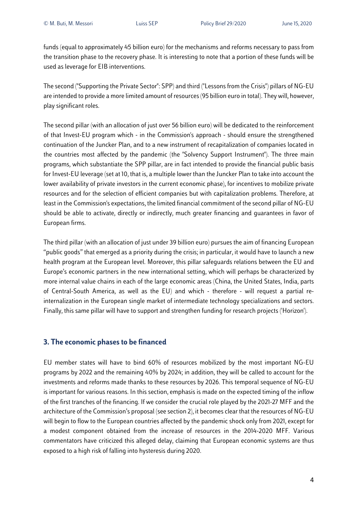funds (equal to approximately 45 billion euro) for the mechanisms and reforms necessary to pass from the transition phase to the recovery phase. It is interesting to note that a portion of these funds will be used as leverage for EIB interventions.

The second ("Supporting the Private Sector": SPP) and third ("Lessons from the Crisis") pillars of NG-EU are intended to provide a more limited amount of resources (95 billion euro in total). They will, however, play significant roles.

The second pillar (with an allocation of just over 56 billion euro) will be dedicated to the reinforcement of that Invest-EU program which - in the Commission's approach - should ensure the strengthened continuation of the Juncker Plan, and to a new instrument of recapitalization of companies located in the countries most affected by the pandemic (the "Solvency Support Instrument"). The three main programs, which substantiate the SPP pillar, are in fact intended to provide the financial public basis for Invest-EU leverage (set at 10, that is, a multiple lower than the Juncker Plan to take into account the lower availability of private investors in the current economic phase), for incentives to mobilize private resources and for the selection of efficient companies but with capitalization problems. Therefore, at least in the Commission's expectations, the limited financial commitment of the second pillar of NG-EU should be able to activate, directly or indirectly, much greater financing and guarantees in favor of European firms.

The third pillar (with an allocation of just under 39 billion euro) pursues the aim of financing European "public goods" that emerged as a priority during the crisis; in particular, it would have to launch a new health program at the European level. Moreover, this pillar safeguards relations between the EU and Europe's economic partners in the new international setting, which will perhaps be characterized by more internal value chains in each of the large economic areas (China, the United States, India, parts of Central-South America, as well as the EU) and which - therefore - will request a partial reinternalization in the European single market of intermediate technology specializations and sectors. Finally, this same pillar will have to support and strengthen funding for research projects ('Horizon').

### **3. The economic phases to be financed**

EU member states will have to bind 60% of resources mobilized by the most important NG-EU programs by 2022 and the remaining 40% by 2024; in addition, they will be called to account for the investments and reforms made thanks to these resources by 2026. This temporal sequence of NG-EU is important for various reasons. In this section, emphasis is made on the expected timing of the inflow of the first tranches of the financing. If we consider the crucial role played by the 2021-27 MFF and the architecture of the Commission's proposal (see section 2), it becomes clear that the resources of NG-EU will begin to flow to the European countries affected by the pandemic shock only from 2021, except for a modest component obtained from the increase of resources in the 2014-2020 MFF. Various commentators have criticized this alleged delay, claiming that European economic systems are thus exposed to a high risk of falling into hysteresis during 2020.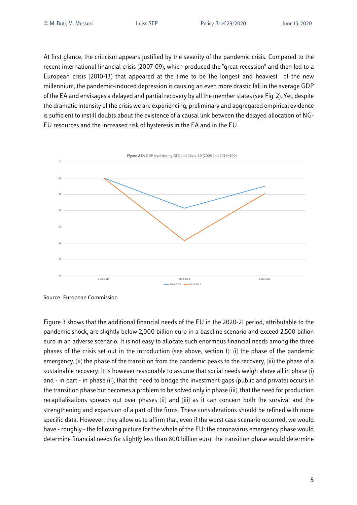At first glance, the criticism appears justified by the severity of the pandemic crisis. Compared to the recent international financial crisis (2007-09), which produced the "great recession" and then led to a European crisis (2010-13) that appeared at the time to be the longest and heaviest of the new millennium, the pandemic-induced depression is causing an even more drastic fall in the average GDP of the EA and envisages a delayed and partial recovery by all the member states (see Fig. 2). Yet, despite the dramatic intensity of the crisis we are experiencing, preliminary and aggregated empirical evidence is sufficient to instill doubts about the existence of a causal link between the delayed allocation of NG-EU resources and the increased risk of hysteresis in the EA and in the EU.



Source: European Commission

Figure 3 shows that the additional financial needs of the EU in the 2020-21 period, attributable to the pandemic shock, are slightly below 2,000 billion euro in a baseline scenario and exceed 2,500 billion euro in an adverse scenario. It is not easy to allocate such enormous financial needs among the three phases of the crisis set out in the introduction (see above, section 1): (i) the phase of the pandemic emergency, (ii) the phase of the transition from the pandemic peaks to the recovery, (iii) the phase of a sustainable recovery. It is however reasonable to assume that social needs weigh above all in phase (i) and - in part - in phase (ii), that the need to bridge the investment gaps (public and private) occurs in the transition phase but becomes a problem to be solved only in phase (iii), that the need for production recapitalisations spreads out over phases (ii) and (iii) as it can concern both the survival and the strengthening and expansion of a part of the firms. These considerations should be refined with more specific data. However, they allow us to affirm that, even if the worst case scenario occurred, we would have - roughly - the following picture for the whole of the EU: the coronavirus emergency phase would determine financial needs for slightly less than 800 billion euro, the transition phase would determine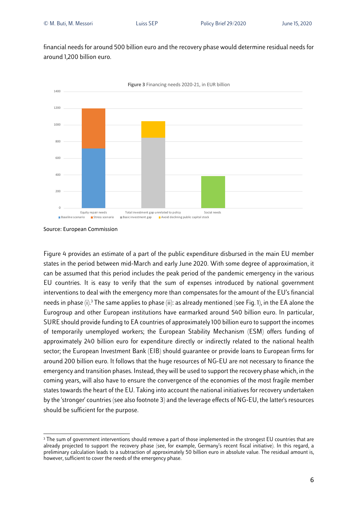financial needs for around 500 billion euro and the recovery phase would determine residual needs for around 1,200 billion euro.



Source: European Commission

Figure 4 provides an estimate of a part of the public expenditure disbursed in the main EU member states in the period between mid-March and early June 2020. With some degree of approximation, it can be assumed that this period includes the peak period of the pandemic emergency in the various EU countries. It is easy to verify that the sum of expenses introduced by national government interventions to deal with the emergency more than compensates for the amount of the EU's financial needs in phase (i). <sup>3</sup> The same applies to phase (ii): as already mentioned (see Fig. 1), in the EA alone the Eurogroup and other European institutions have earmarked around 540 billion euro. In particular, SURE should provide funding to EA countries of approximately 100 billion euro to support the incomes of temporarily unemployed workers; the European Stability Mechanism (ESM) offers funding of approximately 240 billion euro for expenditure directly or indirectly related to the national health sector; the European Investment Bank (EIB) should guarantee or provide loans to European firms for around 200 billion euro. It follows that the huge resources of NG-EU are not necessary to finance the emergency and transition phases. Instead, they will be used to support the recovery phase which, in the coming years, will also have to ensure the convergence of the economies of the most fragile member states towards the heart of the EU. Taking into account the national initiatives for recovery undertaken by the 'stronger' countries (see also footnote 3) and the leverage effects of NG-EU, the latter's resources should be sufficient for the purpose.

<sup>&</sup>lt;sup>3</sup> The sum of government interventions should remove a part of those implemented in the strongest EU countries that are already projected to support the recovery phase (see, for example, Germany's recent fiscal initiative). In this regard, a preliminary calculation leads to a subtraction of approximately 50 billion euro in absolute value. The residual amount is, however, sufficient to cover the needs of the emergency phase.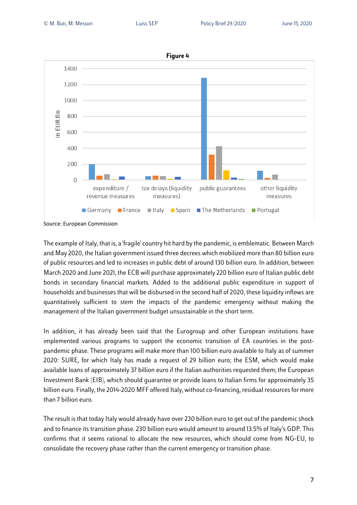

Source: European Commission

The example of Italy, that is, a 'fragile' country hit hard by the pandemic, is emblematic. Between March and May 2020, the Italian government issued three decrees which mobilized more than 80 billion euro of public resources and led to increases in public debt of around 130 billion euro. In addition, between March 2020 and June 2021, the ECB will purchase approximately 220 billion euro of Italian public debt bonds in secondary financial markets. Added to the additional public expenditure in support of households and businesses that will be disbursed in the second half of 2020, these liquidity inflows are quantitatively sufficient to stem the impacts of the pandemic emergency without making the management of the Italian government budget unsustainable in the short term.

In addition, it has already been said that the Eurogroup and other European institutions have implemented various programs to support the economic transition of EA countries in the postpandemic phase. These programs will make more than 100 billion euro available to Italy as of summer 2020: SURE, for which Italy has made a request of 29 billion euro; the ESM, which would make available loans of approximately 37 billion euro if the Italian authorities requested them; the European Investment Bank (EIB), which should guarantee or provide loans to Italian firms for approximately 35 billion euro. Finally, the 2014-2020 MFF offered Italy, without co-financing, residual resources for more than 7 billion euro.

The result is that today Italy would already have over 230 billion euro to get out of the pandemic shock and to finance its transition phase. 230 billion euro would amount to around 13.5% of Italy's GDP. This confirms that it seems rational to allocate the new resources, which should come from NG-EU, to consolidate the recovery phase rather than the current emergency or transition phase.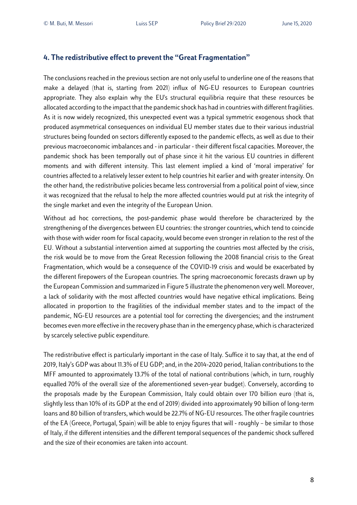### **4. The redistributive effect to prevent the "Great Fragmentation"**

The conclusions reached in the previous section are not only useful to underline one of the reasons that make a delayed (that is, starting from 2021) influx of NG-EU resources to European countries appropriate. They also explain why the EU's structural equilibria require that these resources be allocated according to the impact that the pandemic shock has had in countries with different fragilities. As it is now widely recognized, this unexpected event was a typical symmetric exogenous shock that produced asymmetrical consequences on individual EU member states due to their various industrial structures being founded on sectors differently exposed to the pandemic effects, as well as due to their previous macroeconomic imbalances and - in particular - their different fiscal capacities. Moreover, the pandemic shock has been temporally out of phase since it hit the various EU countries in different moments and with different intensity. This last element implied a kind of 'moral imperative' for countries affected to a relatively lesser extent to help countries hit earlier and with greater intensity. On the other hand, the redistributive policies became less controversial from a political point of view, since it was recognized that the refusal to help the more affected countries would put at risk the integrity of the single market and even the integrity of the European Union.

Without ad hoc corrections, the post-pandemic phase would therefore be characterized by the strengthening of the divergences between EU countries: the stronger countries, which tend to coincide with those with wider room for fiscal capacity, would become even stronger in relation to the rest of the EU. Without a substantial intervention aimed at supporting the countries most affected by the crisis, the risk would be to move from the Great Recession following the 2008 financial crisis to the Great Fragmentation, which would be a consequence of the COVID-19 crisis and would be exacerbated by the different firepowers of the European countries. The spring macroeconomic forecasts drawn up by the European Commission and summarized in Figure 5 illustrate the phenomenon very well. Moreover, a lack of solidarity with the most affected countries would have negative ethical implications. Being allocated in proportion to the fragilities of the individual member states and to the impact of the pandemic, NG-EU resources are a potential tool for correcting the divergencies; and the instrument becomes even more effective in the recovery phase than in the emergency phase, which is characterized by scarcely selective public expenditure.

The redistributive effect is particularly important in the case of Italy. Suffice it to say that, at the end of 2019, Italy's GDP was about 11.3% of EU GDP; and, in the 2014-2020 period, Italian contributions to the MFF amounted to approximately 13.7% of the total of national contributions (which, in turn, roughly equalled 70% of the overall size of the aforementioned seven-year budget). Conversely, according to the proposals made by the European Commission, Italy could obtain over 170 billion euro (that is, slightly less than 10% of its GDP at the end of 2019) divided into approximately 90 billion of long-term loans and 80 billion of transfers, which would be 22.7% of NG-EU resources. The other fragile countries of the EA (Greece, Portugal, Spain) will be able to enjoy figures that will - roughly – be similar to those of Italy, if the different intensities and the different temporal sequences of the pandemic shock suffered and the size of their economies are taken into account.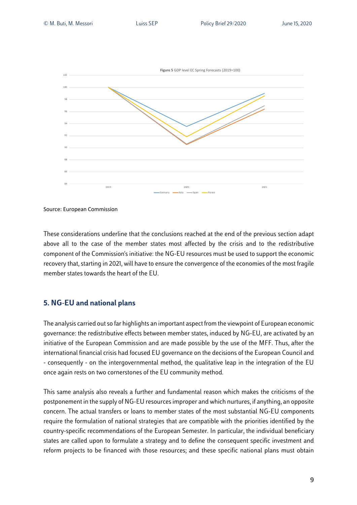

Source: European Commission

These considerations underline that the conclusions reached at the end of the previous section adapt above all to the case of the member states most affected by the crisis and to the redistributive component of the Commission's initiative: the NG-EU resources must be used to support the economic recovery that, starting in 2021, will have to ensure the convergence of the economies of the most fragile member states towards the heart of the EU.

### **5. NG-EU and national plans**

The analysis carried out so far highlights an important aspect from the viewpoint of European economic governance: the redistributive effects between member states, induced by NG-EU, are activated by an initiative of the European Commission and are made possible by the use of the MFF. Thus, after the international financial crisis had focused EU governance on the decisions of the European Council and - consequently - on the intergovernmental method, the qualitative leap in the integration of the EU once again rests on two cornerstones of the EU community method.

This same analysis also reveals a further and fundamental reason which makes the criticisms of the postponement in the supply of NG-EU resources improper and which nurtures, if anything, an opposite concern. The actual transfers or loans to member states of the most substantial NG-EU components require the formulation of national strategies that are compatible with the priorities identified by the country-specific recommendations of the European Semester. In particular, the individual beneficiary states are called upon to formulate a strategy and to define the consequent specific investment and reform projects to be financed with those resources; and these specific national plans must obtain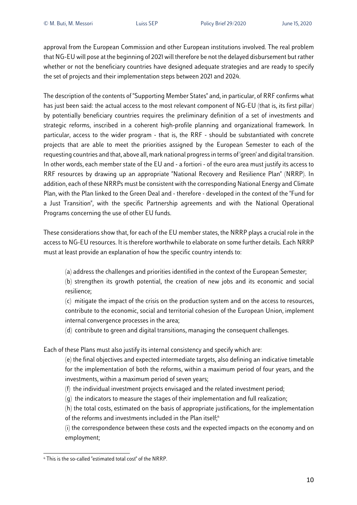approval from the European Commission and other European institutions involved. The real problem that NG-EU will pose at the beginning of 2021 will therefore be not the delayed disbursement but rather whether or not the beneficiary countries have designed adequate strategies and are ready to specify the set of projects and their implementation steps between 2021 and 2024.

The description of the contents of "Supporting Member States" and, in particular, of RRF confirms what has just been said: the actual access to the most relevant component of NG-EU (that is, its first pillar) by potentially beneficiary countries requires the preliminary definition of a set of investments and strategic reforms, inscribed in a coherent high-profile planning and organizational framework. In particular, access to the wider program - that is, the RRF - should be substantiated with concrete projects that are able to meet the priorities assigned by the European Semester to each of the requesting countries and that, above all, mark national progress in terms of 'green' and digital transition. In other words, each member state of the EU and - a fortiori - of the euro area must justify its access to RRF resources by drawing up an appropriate "National Recovery and Resilience Plan" (NRRP). In addition, each of these NRRPs must be consistent with the corresponding National Energy and Climate Plan, with the Plan linked to the Green Deal and - therefore - developed in the context of the "Fund for a Just Transition", with the specific Partnership agreements and with the National Operational Programs concerning the use of other EU funds.

These considerations show that, for each of the EU member states, the NRRP plays a crucial role in the access to NG-EU resources. It is therefore worthwhile to elaborate on some further details. Each NRRP must at least provide an explanation of how the specific country intends to:

(a) address the challenges and priorities identified in the context of the European Semester;

(b) strengthen its growth potential, the creation of new jobs and its economic and social resilience;

(c) mitigate the impact of the crisis on the production system and on the access to resources, contribute to the economic, social and territorial cohesion of the European Union, implement internal convergence processes in the area;

(d) contribute to green and digital transitions, managing the consequent challenges.

Each of these Plans must also justify its internal consistency and specify which are:

(e) the final objectives and expected intermediate targets, also defining an indicative timetable for the implementation of both the reforms, within a maximum period of four years, and the investments, within a maximum period of seven years;

- (f) the individual investment projects envisaged and the related investment period;
- (g) the indicators to measure the stages of their implementation and full realization;
- (h) the total costs, estimated on the basis of appropriate justifications, for the implementation of the reforms and investments included in the Plan itself; 4

(i) the correspondence between these costs and the expected impacts on the economy and on employment;

<sup>4</sup> This is the so-called "estimated total cost" of the NRRP.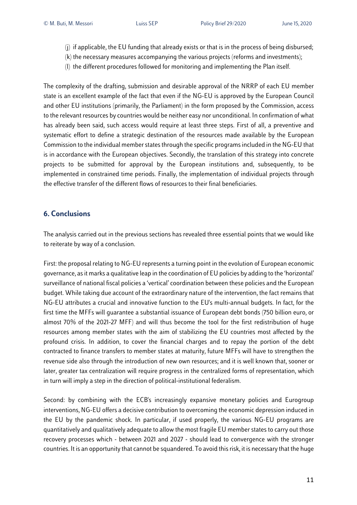- (j) if applicable, the EU funding that already exists or that is in the process of being disbursed;
- (k) the necessary measures accompanying the various projects (reforms and investments);
- (l) the different procedures followed for monitoring and implementing the Plan itself.

The complexity of the drafting, submission and desirable approval of the NRRP of each EU member state is an excellent example of the fact that even if the NG-EU is approved by the European Council and other EU institutions (primarily, the Parliament) in the form proposed by the Commission, access to the relevant resources by countries would be neither easy nor unconditional. In confirmation of what has already been said, such access would require at least three steps. First of all, a preventive and systematic effort to define a strategic destination of the resources made available by the European Commission to the individual member states through the specific programs included in the NG-EU that is in accordance with the European objectives. Secondly, the translation of this strategy into concrete projects to be submitted for approval by the European institutions and, subsequently, to be implemented in constrained time periods. Finally, the implementation of individual projects through the effective transfer of the different flows of resources to their final beneficiaries.

### **6. Conclusions**

The analysis carried out in the previous sections has revealed three essential points that we would like to reiterate by way of a conclusion.

First: the proposal relating to NG-EU represents a turning point in the evolution of European economic governance, as it marks a qualitative leap in the coordination of EU policies by adding to the 'horizontal' surveillance of national fiscal policies a 'vertical' coordination between these policies and the European budget. While taking due account of the extraordinary nature of the intervention, the fact remains that NG-EU attributes a crucial and innovative function to the EU's multi-annual budgets. In fact, for the first time the MFFs will guarantee a substantial issuance of European debt bonds (750 billion euro, or almost 70% of the 2021-27 MFF) and will thus become the tool for the first redistribution of huge resources among member states with the aim of stabilizing the EU countries most affected by the profound crisis. In addition, to cover the financial charges and to repay the portion of the debt contracted to finance transfers to member states at maturity, future MFFs will have to strengthen the revenue side also through the introduction of new own resources; and it is well known that, sooner or later, greater tax centralization will require progress in the centralized forms of representation, which in turn will imply a step in the direction of political-institutional federalism.

Second: by combining with the ECB's increasingly expansive monetary policies and Eurogroup interventions, NG-EU offers a decisive contribution to overcoming the economic depression induced in the EU by the pandemic shock. In particular, if used properly, the various NG-EU programs are quantitatively and qualitatively adequate to allow the most fragile EU member states to carry out those recovery processes which - between 2021 and 2027 - should lead to convergence with the stronger countries. It is an opportunity that cannot be squandered. To avoid this risk, it is necessary that the huge